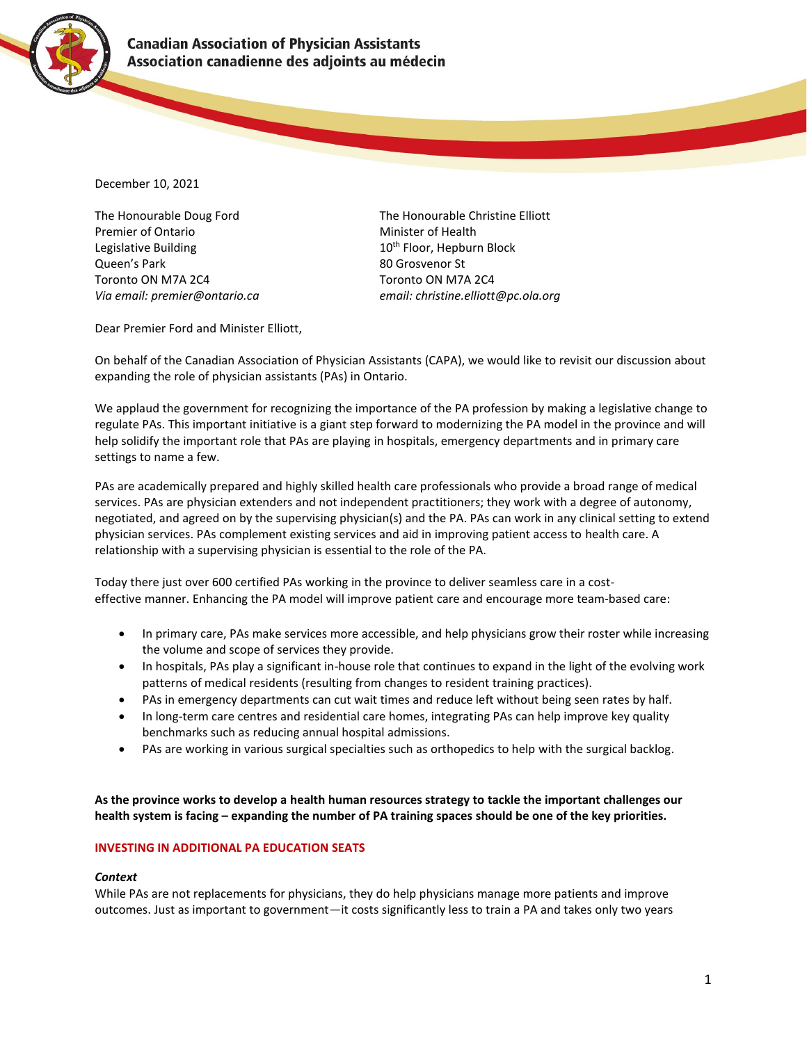

December 10, 2021

The Honourable Doug Ford The Honourable Christine Elliott Premier of Ontario **Minister of Health** Legislative Building The Contract of the 10<sup>th</sup> Floor, Hepburn Block Queen's Park 80 Grosvenor St Toronto ON M7A 2C4 Toronto ON M7A 2C4 *Via email: premier@ontario.ca email: [christine.elliott@pc.ola.org](mailto:christine.elliott@pc.ola.org)*

Dear Premier Ford and Minister Elliott,

On behalf of the Canadian Association of Physician Assistants (CAPA), we would like to revisit our discussion about expanding the role of physician assistants (PAs) in Ontario.

We applaud the government for recognizing the importance of the PA profession by making a legislative change to regulate PAs. This important initiative is a giant step forward to modernizing the PA model in the province and will help solidify the important role that PAs are playing in hospitals, emergency departments and in primary care settings to name a few.

PAs are academically prepared and highly skilled health care professionals who provide a broad range of medical services. PAs are physician extenders and not independent practitioners; they work with a degree of autonomy, negotiated, and agreed on by the supervising physician(s) and the PA. PAs can work in any clinical setting to extend physician services. PAs complement existing services and aid in improving patient access to health care. A relationship with a supervising physician is essential to the role of the PA.

Today there just over 600 certified PAs working in the province to deliver seamless care in a costeffective manner. Enhancing the PA model will improve patient care and encourage more team-based care:

- In primary care, PAs make services more accessible, and help physicians grow their roster while increasing the volume and scope of services they provide.
- In hospitals, PAs play a significant in-house role that continues to expand in the light of the evolving work patterns of medical residents (resulting from changes to resident training practices).
- PAs in emergency departments can cut wait times and reduce left without being seen rates by half.
- In long-term care centres and residential care homes, integrating PAs can help improve key quality benchmarks such as reducing annual hospital admissions.
- PAs are working in various surgical specialties such as orthopedics to help with the surgical backlog.

**As the province works to develop a health human resources strategy to tackle the important challenges our health system is facing – expanding the number of PA training spaces should be one of the key priorities.**

# **INVESTING IN ADDITIONAL PA EDUCATION SEATS**

# *Context*

While PAs are not replacements for physicians, they do help physicians manage more patients and improve outcomes. Just as important to government—it costs significantly less to train a PA and takes only two years